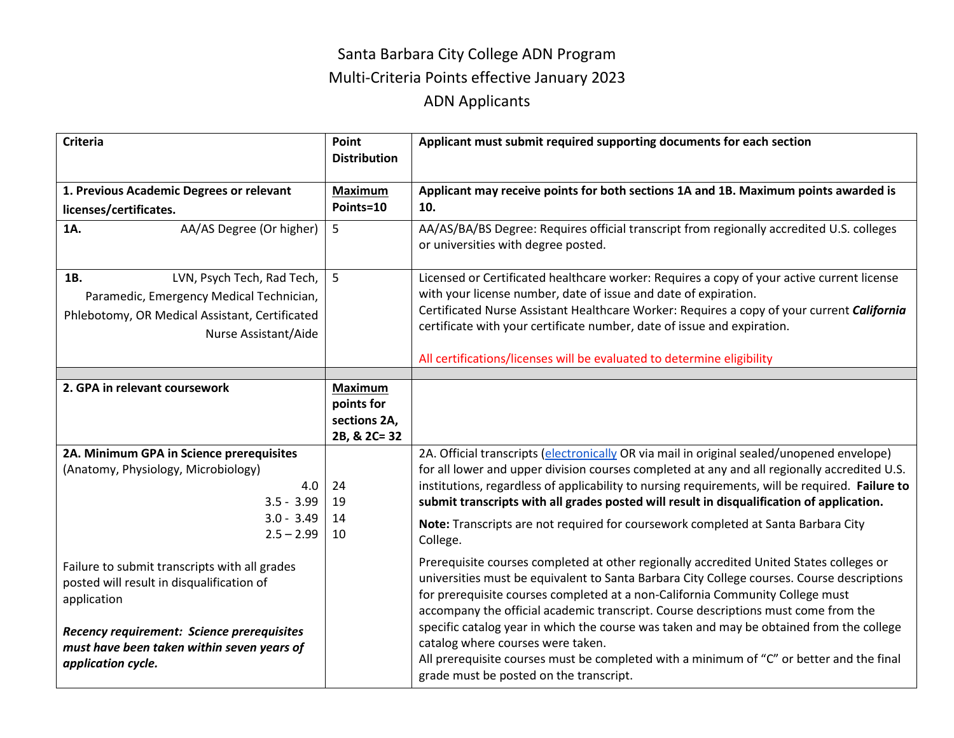## Santa Barbara City College ADN Program Multi-Criteria Points effective January 2023 ADN Applicants

| <b>Criteria</b>                                                                                                | Point<br><b>Distribution</b> | Applicant must submit required supporting documents for each section                                                                                                                                                                                                                                                                                         |
|----------------------------------------------------------------------------------------------------------------|------------------------------|--------------------------------------------------------------------------------------------------------------------------------------------------------------------------------------------------------------------------------------------------------------------------------------------------------------------------------------------------------------|
| 1. Previous Academic Degrees or relevant                                                                       | <b>Maximum</b>               | Applicant may receive points for both sections 1A and 1B. Maximum points awarded is                                                                                                                                                                                                                                                                          |
| licenses/certificates.                                                                                         | Points=10                    | 10.                                                                                                                                                                                                                                                                                                                                                          |
| AA/AS Degree (Or higher)<br>1A.                                                                                | 5                            | AA/AS/BA/BS Degree: Requires official transcript from regionally accredited U.S. colleges<br>or universities with degree posted.                                                                                                                                                                                                                             |
| LVN, Psych Tech, Rad Tech,<br>1B.                                                                              | 5                            | Licensed or Certificated healthcare worker: Requires a copy of your active current license                                                                                                                                                                                                                                                                   |
| Paramedic, Emergency Medical Technician,                                                                       |                              | with your license number, date of issue and date of expiration.                                                                                                                                                                                                                                                                                              |
| Phlebotomy, OR Medical Assistant, Certificated                                                                 |                              | Certificated Nurse Assistant Healthcare Worker: Requires a copy of your current California                                                                                                                                                                                                                                                                   |
| Nurse Assistant/Aide                                                                                           |                              | certificate with your certificate number, date of issue and expiration.                                                                                                                                                                                                                                                                                      |
|                                                                                                                |                              | All certifications/licenses will be evaluated to determine eligibility                                                                                                                                                                                                                                                                                       |
|                                                                                                                |                              |                                                                                                                                                                                                                                                                                                                                                              |
| 2. GPA in relevant coursework                                                                                  | <b>Maximum</b><br>points for |                                                                                                                                                                                                                                                                                                                                                              |
|                                                                                                                | sections 2A,                 |                                                                                                                                                                                                                                                                                                                                                              |
|                                                                                                                | 2B, & 2C= 32                 |                                                                                                                                                                                                                                                                                                                                                              |
| 2A. Minimum GPA in Science prerequisites                                                                       |                              | 2A. Official transcripts (electronically OR via mail in original sealed/unopened envelope)                                                                                                                                                                                                                                                                   |
| (Anatomy, Physiology, Microbiology)                                                                            |                              | for all lower and upper division courses completed at any and all regionally accredited U.S.                                                                                                                                                                                                                                                                 |
| 4.0                                                                                                            | 24                           | institutions, regardless of applicability to nursing requirements, will be required. Failure to                                                                                                                                                                                                                                                              |
| $3.5 - 3.99$                                                                                                   | 19                           | submit transcripts with all grades posted will result in disqualification of application.                                                                                                                                                                                                                                                                    |
| $3.0 - 3.49$<br>$2.5 - 2.99$                                                                                   | 14<br>10                     | Note: Transcripts are not required for coursework completed at Santa Barbara City<br>College.                                                                                                                                                                                                                                                                |
| Failure to submit transcripts with all grades<br>posted will result in disqualification of<br>application      |                              | Prerequisite courses completed at other regionally accredited United States colleges or<br>universities must be equivalent to Santa Barbara City College courses. Course descriptions<br>for prerequisite courses completed at a non-California Community College must<br>accompany the official academic transcript. Course descriptions must come from the |
| Recency requirement: Science prerequisites<br>must have been taken within seven years of<br>application cycle. |                              | specific catalog year in which the course was taken and may be obtained from the college<br>catalog where courses were taken.<br>All prerequisite courses must be completed with a minimum of "C" or better and the final<br>grade must be posted on the transcript.                                                                                         |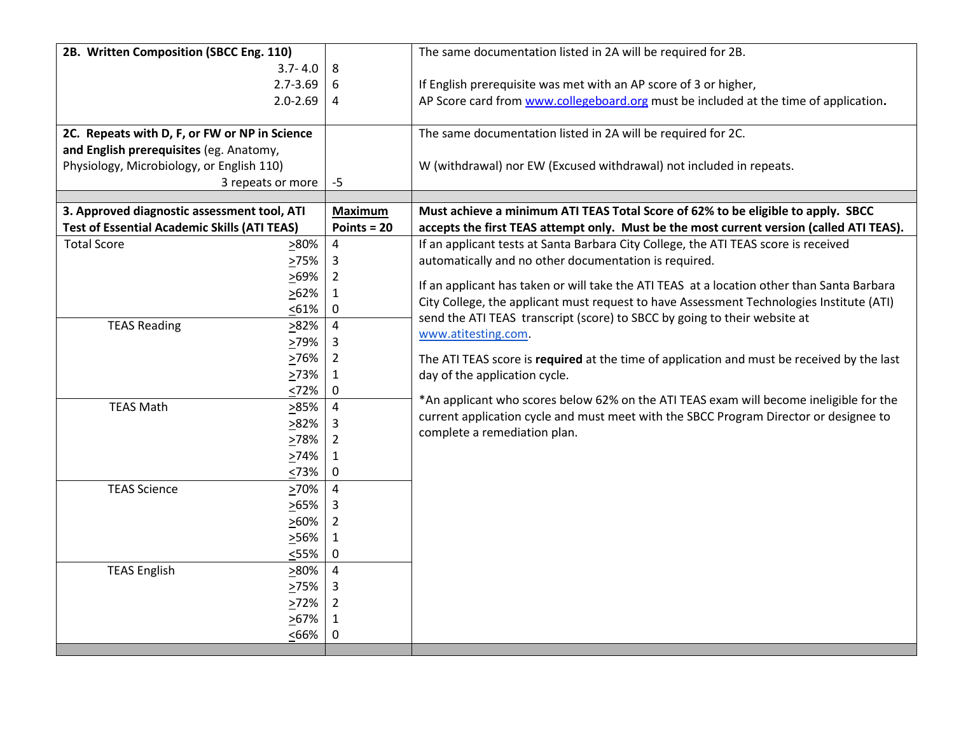| 2B. Written Composition (SBCC Eng. 110)             |                   | The same documentation listed in 2A will be required for 2B.                               |
|-----------------------------------------------------|-------------------|--------------------------------------------------------------------------------------------|
| $3.7 - 4.0$                                         | 8                 |                                                                                            |
| $2.7 - 3.69$                                        | 6                 | If English prerequisite was met with an AP score of 3 or higher,                           |
| $2.0 - 2.69$                                        | 4                 | AP Score card from www.collegeboard.org must be included at the time of application.       |
| 2C. Repeats with D, F, or FW or NP in Science       |                   | The same documentation listed in 2A will be required for 2C.                               |
| and English prerequisites (eg. Anatomy,             |                   |                                                                                            |
| Physiology, Microbiology, or English 110)           |                   | W (withdrawal) nor EW (Excused withdrawal) not included in repeats.                        |
| 3 repeats or more                                   | $-5$              |                                                                                            |
|                                                     |                   |                                                                                            |
| 3. Approved diagnostic assessment tool, ATI         | <b>Maximum</b>    | Must achieve a minimum ATI TEAS Total Score of 62% to be eligible to apply. SBCC           |
| <b>Test of Essential Academic Skills (ATI TEAS)</b> | Points = $20$     | accepts the first TEAS attempt only. Must be the most current version (called ATI TEAS).   |
| <b>Total Score</b><br>$>80\%$                       | $\overline{4}$    | If an applicant tests at Santa Barbara City College, the ATI TEAS score is received        |
| <u>&gt;</u> 75%                                     | 3                 | automatically and no other documentation is required.                                      |
| $>69\%$                                             | 2                 | If an applicant has taken or will take the ATI TEAS at a location other than Santa Barbara |
| $>62\%$                                             | $\mathbf{1}$      | City College, the applicant must request to have Assessment Technologies Institute (ATI)   |
| < 61%                                               | $\mathbf 0$       | send the ATI TEAS transcript (score) to SBCC by going to their website at                  |
| <b>TEAS Reading</b><br>>82%                         | $\overline{4}$    | www.atitesting.com.                                                                        |
| 279%                                                | 3                 |                                                                                            |
| >76%<br>273%                                        | 2                 | The ATI TEAS score is required at the time of application and must be received by the last |
| <72%                                                | $\mathbf{1}$<br>0 | day of the application cycle.                                                              |
| <b>TEAS Math</b><br>285%                            | $\overline{4}$    | *An applicant who scores below 62% on the ATI TEAS exam will become ineligible for the     |
| 282%                                                | 3                 | current application cycle and must meet with the SBCC Program Director or designee to      |
| 278%                                                | 2                 | complete a remediation plan.                                                               |
| >74%                                                | 1                 |                                                                                            |
| 573%                                                | $\mathbf 0$       |                                                                                            |
| <b>TEAS Science</b><br>>70%                         | $\overline{4}$    |                                                                                            |
| 265%                                                | 3                 |                                                                                            |
| $>60\%$                                             | 2                 |                                                                                            |
| 256%                                                | $\mathbf{1}$      |                                                                                            |
| $55\%$                                              | $\mathbf 0$       |                                                                                            |
| <b>TEAS English</b><br>280%                         | $\overline{4}$    |                                                                                            |
| >75%                                                | 3                 |                                                                                            |
| >72%                                                | 2                 |                                                                                            |
| $>67\%$                                             | 1                 |                                                                                            |
| <66%                                                | 0                 |                                                                                            |
|                                                     |                   |                                                                                            |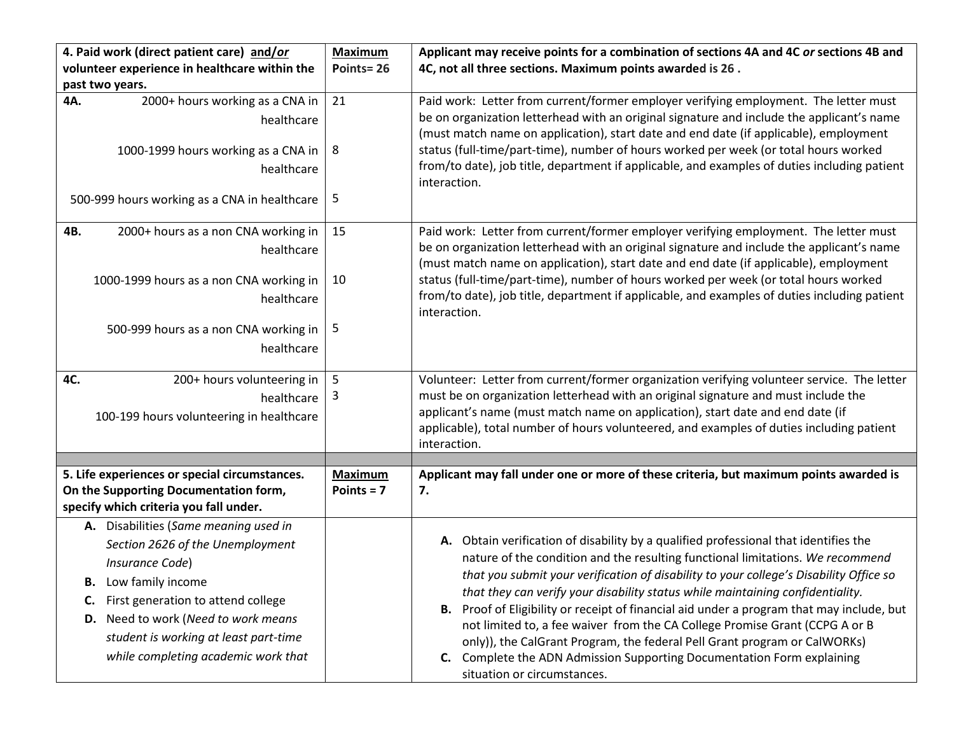| 4. Paid work (direct patient care) and/or                                                                                                                                                                                                                                                      | <b>Maximum</b>                 | Applicant may receive points for a combination of sections 4A and 4C or sections 4B and                                                                                                                                                                                                                                                                                                                                                                                                                                                                                                                                                                                                                                 |
|------------------------------------------------------------------------------------------------------------------------------------------------------------------------------------------------------------------------------------------------------------------------------------------------|--------------------------------|-------------------------------------------------------------------------------------------------------------------------------------------------------------------------------------------------------------------------------------------------------------------------------------------------------------------------------------------------------------------------------------------------------------------------------------------------------------------------------------------------------------------------------------------------------------------------------------------------------------------------------------------------------------------------------------------------------------------------|
| volunteer experience in healthcare within the                                                                                                                                                                                                                                                  | Points=26                      | 4C, not all three sections. Maximum points awarded is 26.                                                                                                                                                                                                                                                                                                                                                                                                                                                                                                                                                                                                                                                               |
| past two years.                                                                                                                                                                                                                                                                                |                                |                                                                                                                                                                                                                                                                                                                                                                                                                                                                                                                                                                                                                                                                                                                         |
| 4A.<br>2000+ hours working as a CNA in<br>healthcare                                                                                                                                                                                                                                           | 21                             | Paid work: Letter from current/former employer verifying employment. The letter must<br>be on organization letterhead with an original signature and include the applicant's name<br>(must match name on application), start date and end date (if applicable), employment                                                                                                                                                                                                                                                                                                                                                                                                                                              |
| 1000-1999 hours working as a CNA in<br>healthcare                                                                                                                                                                                                                                              | 8                              | status (full-time/part-time), number of hours worked per week (or total hours worked<br>from/to date), job title, department if applicable, and examples of duties including patient<br>interaction.                                                                                                                                                                                                                                                                                                                                                                                                                                                                                                                    |
| 500-999 hours working as a CNA in healthcare                                                                                                                                                                                                                                                   | 5                              |                                                                                                                                                                                                                                                                                                                                                                                                                                                                                                                                                                                                                                                                                                                         |
| 4B.<br>2000+ hours as a non CNA working in<br>healthcare                                                                                                                                                                                                                                       | 15                             | Paid work: Letter from current/former employer verifying employment. The letter must<br>be on organization letterhead with an original signature and include the applicant's name<br>(must match name on application), start date and end date (if applicable), employment                                                                                                                                                                                                                                                                                                                                                                                                                                              |
| 1000-1999 hours as a non CNA working in<br>healthcare                                                                                                                                                                                                                                          | 10                             | status (full-time/part-time), number of hours worked per week (or total hours worked<br>from/to date), job title, department if applicable, and examples of duties including patient<br>interaction.                                                                                                                                                                                                                                                                                                                                                                                                                                                                                                                    |
| 500-999 hours as a non CNA working in<br>healthcare                                                                                                                                                                                                                                            | 5                              |                                                                                                                                                                                                                                                                                                                                                                                                                                                                                                                                                                                                                                                                                                                         |
| 4C.<br>200+ hours volunteering in<br>healthcare<br>100-199 hours volunteering in healthcare                                                                                                                                                                                                    | 5<br>3                         | Volunteer: Letter from current/former organization verifying volunteer service. The letter<br>must be on organization letterhead with an original signature and must include the<br>applicant's name (must match name on application), start date and end date (if<br>applicable), total number of hours volunteered, and examples of duties including patient<br>interaction.                                                                                                                                                                                                                                                                                                                                          |
|                                                                                                                                                                                                                                                                                                |                                |                                                                                                                                                                                                                                                                                                                                                                                                                                                                                                                                                                                                                                                                                                                         |
| 5. Life experiences or special circumstances.<br>On the Supporting Documentation form,<br>specify which criteria you fall under.                                                                                                                                                               | <b>Maximum</b><br>Points = $7$ | Applicant may fall under one or more of these criteria, but maximum points awarded is<br>7.                                                                                                                                                                                                                                                                                                                                                                                                                                                                                                                                                                                                                             |
| A. Disabilities (Same meaning used in<br>Section 2626 of the Unemployment<br>Insurance Code)<br><b>B.</b> Low family income<br>First generation to attend college<br>C.<br>D. Need to work (Need to work means<br>student is working at least part-time<br>while completing academic work that |                                | A. Obtain verification of disability by a qualified professional that identifies the<br>nature of the condition and the resulting functional limitations. We recommend<br>that you submit your verification of disability to your college's Disability Office so<br>that they can verify your disability status while maintaining confidentiality.<br>Proof of Eligibility or receipt of financial aid under a program that may include, but<br>В.<br>not limited to, a fee waiver from the CA College Promise Grant (CCPG A or B<br>only)), the CalGrant Program, the federal Pell Grant program or CalWORKs)<br>C. Complete the ADN Admission Supporting Documentation Form explaining<br>situation or circumstances. |